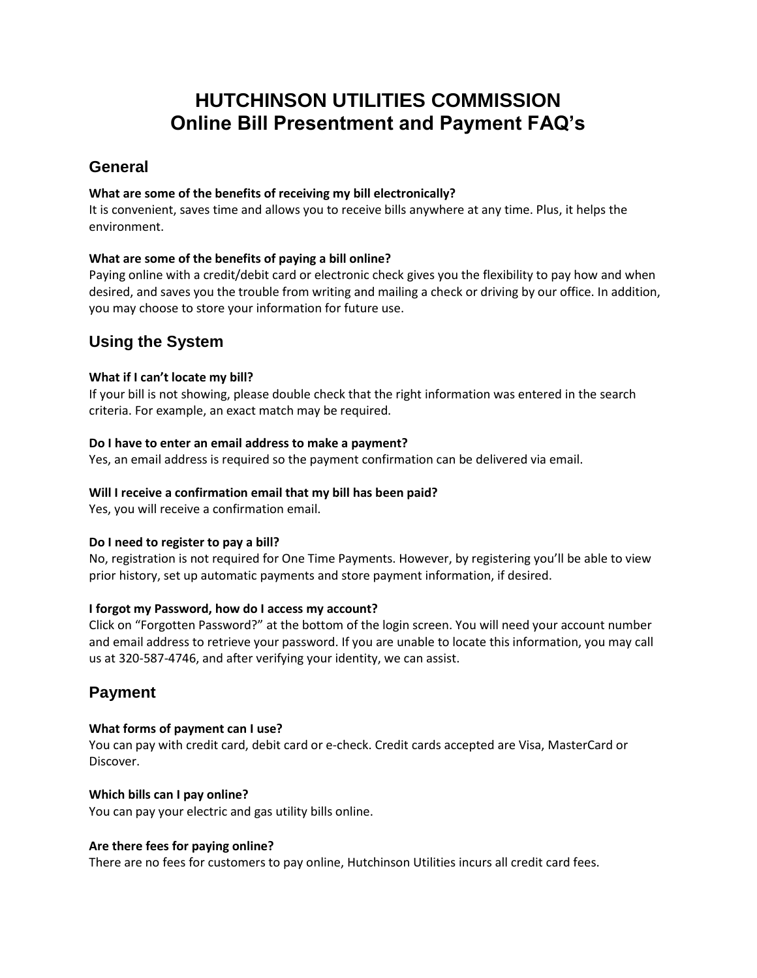# **HUTCHINSON UTILITIES COMMISSION Online Bill Presentment and Payment FAQ's**

# **General**

### **What are some of the benefits of receiving my bill electronically?**

It is convenient, saves time and allows you to receive bills anywhere at any time. Plus, it helps the environment.

# **What are some of the benefits of paying a bill online?**

Paying online with a credit/debit card or electronic check gives you the flexibility to pay how and when desired, and saves you the trouble from writing and mailing a check or driving by our office. In addition, you may choose to store your information for future use.

# **Using the System**

# **What if I can't locate my bill?**

If your bill is not showing, please double check that the right information was entered in the search criteria. For example, an exact match may be required.

### **Do I have to enter an email address to make a payment?**

Yes, an email address is required so the payment confirmation can be delivered via email.

### **Will I receive a confirmation email that my bill has been paid?**

Yes, you will receive a confirmation email.

#### **Do I need to register to pay a bill?**

No, registration is not required for One Time Payments. However, by registering you'll be able to view prior history, set up automatic payments and store payment information, if desired.

#### **I forgot my Password, how do I access my account?**

Click on "Forgotten Password?" at the bottom of the login screen. You will need your account number and email address to retrieve your password. If you are unable to locate this information, you may call us at 320-587-4746, and after verifying your identity, we can assist.

# **Payment**

# **What forms of payment can I use?**

You can pay with credit card, debit card or e-check. Credit cards accepted are Visa, MasterCard or Discover.

# **Which bills can I pay online?**

You can pay your electric and gas utility bills online.

#### **Are there fees for paying online?**

There are no fees for customers to pay online, Hutchinson Utilities incurs all credit card fees.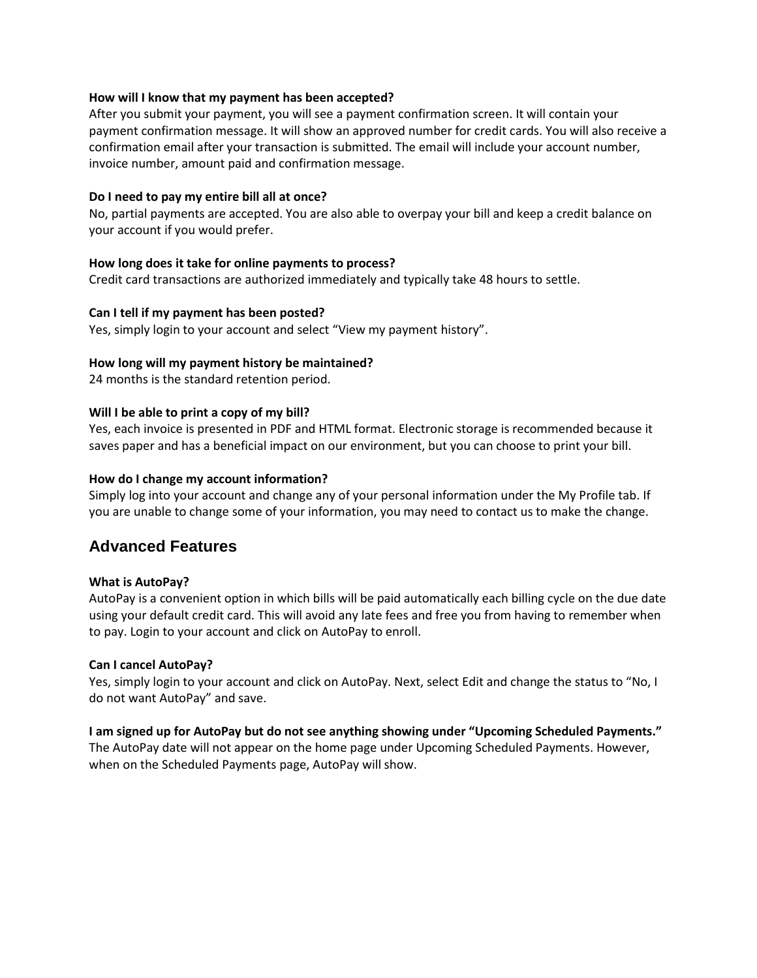#### **How will I know that my payment has been accepted?**

After you submit your payment, you will see a payment confirmation screen. It will contain your payment confirmation message. It will show an approved number for credit cards. You will also receive a confirmation email after your transaction is submitted. The email will include your account number, invoice number, amount paid and confirmation message.

#### **Do I need to pay my entire bill all at once?**

No, partial payments are accepted. You are also able to overpay your bill and keep a credit balance on your account if you would prefer.

#### **How long does it take for online payments to process?**

Credit card transactions are authorized immediately and typically take 48 hours to settle.

#### **Can I tell if my payment has been posted?**

Yes, simply login to your account and select "View my payment history".

#### **How long will my payment history be maintained?**

24 months is the standard retention period.

#### **Will I be able to print a copy of my bill?**

Yes, each invoice is presented in PDF and HTML format. Electronic storage is recommended because it saves paper and has a beneficial impact on our environment, but you can choose to print your bill.

#### **How do I change my account information?**

Simply log into your account and change any of your personal information under the My Profile tab. If you are unable to change some of your information, you may need to contact us to make the change.

# **Advanced Features**

#### **What is AutoPay?**

AutoPay is a convenient option in which bills will be paid automatically each billing cycle on the due date using your default credit card. This will avoid any late fees and free you from having to remember when to pay. Login to your account and click on AutoPay to enroll.

#### **Can I cancel AutoPay?**

Yes, simply login to your account and click on AutoPay. Next, select Edit and change the status to "No, I do not want AutoPay" and save.

#### **I am signed up for AutoPay but do not see anything showing under "Upcoming Scheduled Payments."**

The AutoPay date will not appear on the home page under Upcoming Scheduled Payments. However, when on the Scheduled Payments page, AutoPay will show.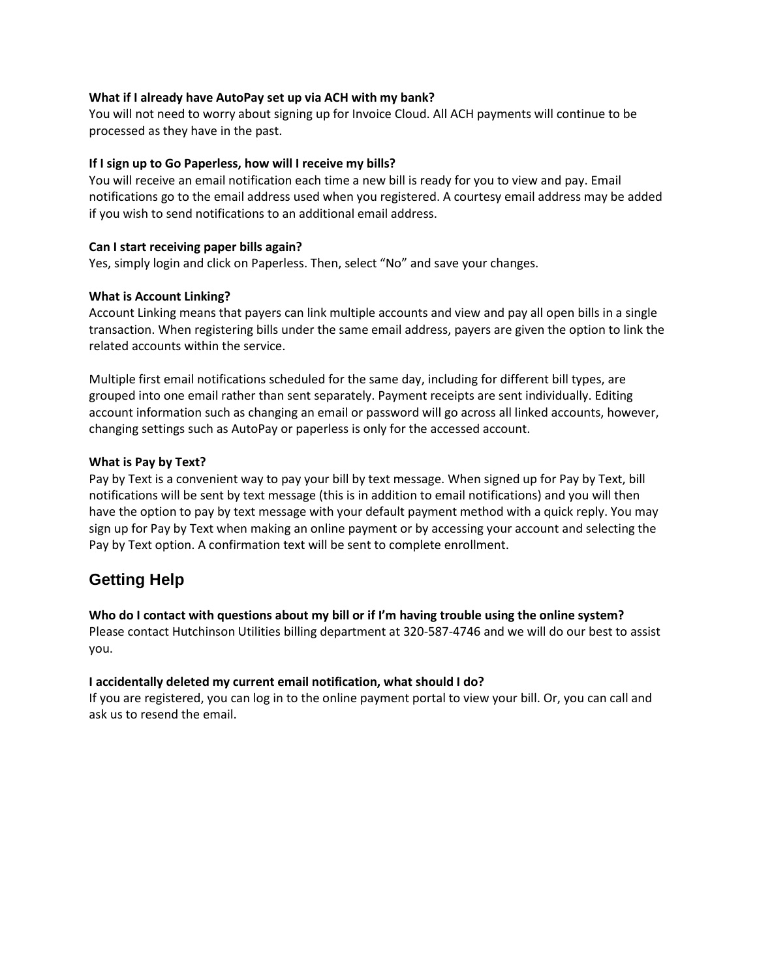#### **What if I already have AutoPay set up via ACH with my bank?**

You will not need to worry about signing up for Invoice Cloud. All ACH payments will continue to be processed as they have in the past.

#### **If I sign up to Go Paperless, how will I receive my bills?**

You will receive an email notification each time a new bill is ready for you to view and pay. Email notifications go to the email address used when you registered. A courtesy email address may be added if you wish to send notifications to an additional email address.

#### **Can I start receiving paper bills again?**

Yes, simply login and click on Paperless. Then, select "No" and save your changes.

#### **What is Account Linking?**

Account Linking means that payers can link multiple accounts and view and pay all open bills in a single transaction. When registering bills under the same email address, payers are given the option to link the related accounts within the service.

Multiple first email notifications scheduled for the same day, including for different bill types, are grouped into one email rather than sent separately. Payment receipts are sent individually. Editing account information such as changing an email or password will go across all linked accounts, however, changing settings such as AutoPay or paperless is only for the accessed account.

### **What is Pay by Text?**

Pay by Text is a convenient way to pay your bill by text message. When signed up for Pay by Text, bill notifications will be sent by text message (this is in addition to email notifications) and you will then have the option to pay by text message with your default payment method with a quick reply. You may sign up for Pay by Text when making an online payment or by accessing your account and selecting the Pay by Text option. A confirmation text will be sent to complete enrollment.

# **Getting Help**

#### **Who do I contact with questions about my bill or if I'm having trouble using the online system?**

Please contact Hutchinson Utilities billing department at 320-587-4746 and we will do our best to assist you.

#### **I accidentally deleted my current email notification, what should I do?**

If you are registered, you can log in to the online payment portal to view your bill. Or, you can call and ask us to resend the email.